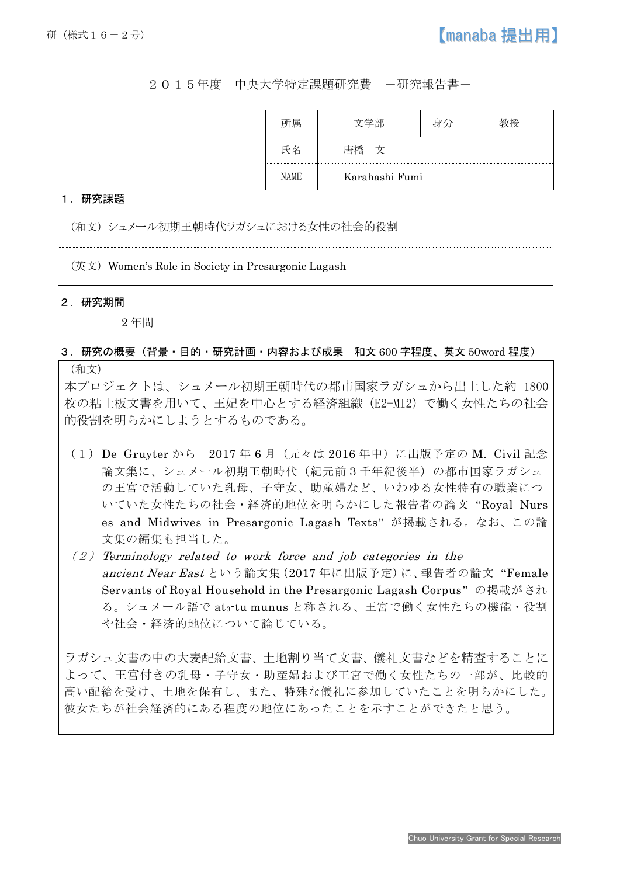## 2015年度 中央大学特定課題研究費 -研究報告書-

|             | 文学部                    | $\sim$ |  |
|-------------|------------------------|--------|--|
|             | $\mathbf{V}$<br>再稲<br> |        |  |
| <b>NAME</b> | Karahashi Fumi         |        |  |

## 1.研究課題

(和文)シュメール初期王朝時代ラガシュにおける女性の社会的役割

 $($ 英文) Women's Role in Society in Presargonic Lagash

## 2.研究期間

Ī

2 年間

## 3.研究の概要(背景・目的・研究計画・内容および成果 和文 600 字程度、英文 50word 程度)

(和文)

本プロジェクトは、シュメール初期王朝時代の都市国家ラガシュから出土した約 1800 枚の粘土板文書を用いて、王妃を中心とする経済組織(E2-MI2)で働く女性たちの社会 的役割を明らかにしようとするものである。

- (1)De Gruyter から 2017 年 6 月(元々は 2016 年中)に出版予定の M. Civil 記念 論文集に、シュメール初期王朝時代(紀元前3千年紀後半)の都市国家ラガシュ の王宮で活動していた乳母、子守女、助産婦など、いわゆる女性特有の職業につ いていた女性たちの社会・経済的地位を明らかにした報告者の論文 "Royal Nurs es and Midwives in Presargonic Lagash Texts" が掲載される。なお、この論 文集の編集も担当した。
- $(2)$  Terminology related to work force and job categories in the ancient Near East という論文集(2017 年に出版予定)に、報告者の論文 "Female Servants of Royal Household in the Presargonic Lagash Corpus" の掲載がされ る。シュメール語で at3-tu munus と称される、王宮で働く女性たちの機能・役割 や社会・経済的地位について論じている。

ラガシュ文書の中の大麦配給文書、土地割り当て文書、儀礼文書などを精査することに よって、王宮付きの乳母・子守女・助産婦および王宮で働く女性たちの一部が、比較的 高い配給を受け、土地を保有し、また、特殊な儀礼に参加していたことを明らかにした。 彼女たちが社会経済的にある程度の地位にあったことを示すことができたと思う。